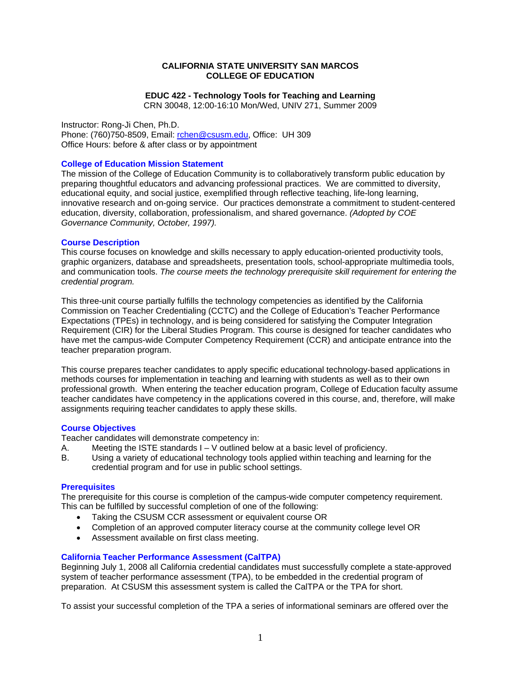## **CALIFORNIA STATE UNIVERSITY SAN MARCOS COLLEGE OF EDUCATION**

# **EDUC 422 - Technology Tools for Teaching and Learning**

CRN 30048, 12:00-16:10 Mon/Wed, UNIV 271, Summer 2009

Instructor: Rong-Ji Chen, Ph.D. Phone: (760)750-8509, Email: rchen@csusm.edu, Office: UH 309 Office Hours: before & after class or by appointment

## **College of Education Mission Statement**

The mission of the College of Education Community is to collaboratively transform public education by preparing thoughtful educators and advancing professional practices. We are committed to diversity, educational equity, and social justice, exemplified through reflective teaching, life-long learning, innovative research and on-going service. Our practices demonstrate a commitment to student-centered education, diversity, collaboration, professionalism, and shared governance. *(Adopted by COE Governance Community, October, 1997).* 

### **Course Description**

This course focuses on knowledge and skills necessary to apply education-oriented productivity tools, graphic organizers, database and spreadsheets, presentation tools, school-appropriate multimedia tools, and communication tools. *The course meets the technology prerequisite skill requirement for entering the credential program.* 

This three-unit course partially fulfills the technology competencies as identified by the California Commission on Teacher Credentialing (CCTC) and the College of Education's Teacher Performance Expectations (TPEs) in technology, and is being considered for satisfying the Computer Integration Requirement (CIR) for the Liberal Studies Program. This course is designed for teacher candidates who have met the campus-wide Computer Competency Requirement (CCR) and anticipate entrance into the teacher preparation program.

This course prepares teacher candidates to apply specific educational technology-based applications in methods courses for implementation in teaching and learning with students as well as to their own professional growth. When entering the teacher education program, College of Education faculty assume teacher candidates have competency in the applications covered in this course, and, therefore, will make assignments requiring teacher candidates to apply these skills.

## **Course Objectives**

Teacher candidates will demonstrate competency in:

- A. Meeting the ISTE standards  $I V$  outlined below at a basic level of proficiency.
- B. Using a variety of educational technology tools applied within teaching and learning for the credential program and for use in public school settings.

## **Prerequisites**

The prerequisite for this course is completion of the campus-wide computer competency requirement. This can be fulfilled by successful completion of one of the following:

- Taking the CSUSM CCR assessment or equivalent course OR
- Completion of an approved computer literacy course at the community college level OR
- Assessment available on first class meeting.

## **California Teacher Performance Assessment (CalTPA)**

Beginning July 1, 2008 all California credential candidates must successfully complete a state-approved system of teacher performance assessment (TPA), to be embedded in the credential program of preparation. At CSUSM this assessment system is called the CalTPA or the TPA for short.

To assist your successful completion of the TPA a series of informational seminars are offered over the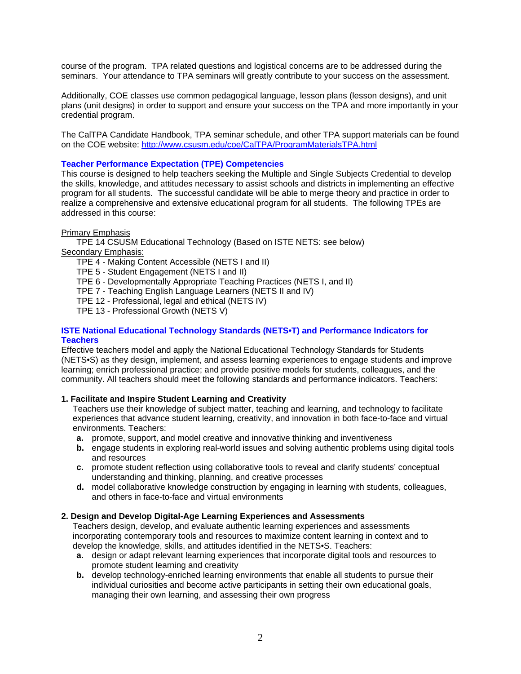course of the program. TPA related questions and logistical concerns are to be addressed during the seminars. Your attendance to TPA seminars will greatly contribute to your success on the assessment.

Additionally, COE classes use common pedagogical language, lesson plans (lesson designs), and unit plans (unit designs) in order to support and ensure your success on the TPA and more importantly in your credential program.

The CalTPA Candidate Handbook, TPA seminar schedule, and other TPA support materials can be found on the COE website: http://www.csusm.edu/coe/CalTPA/ProgramMaterialsTPA.html

## **Teacher Performance Expectation (TPE) Competencies**

This course is designed to help teachers seeking the Multiple and Single Subjects Credential to develop the skills, knowledge, and attitudes necessary to assist schools and districts in implementing an effective program for all students. The successful candidate will be able to merge theory and practice in order to realize a comprehensive and extensive educational program for all students. The following TPEs are addressed in this course:

### Primary Emphasis

TPE 14 CSUSM Educational Technology (Based on ISTE NETS: see below) Secondary Emphasis:

TPE 4 - Making Content Accessible (NETS I and II)

TPE 5 - Student Engagement (NETS I and II)

TPE 6 - Developmentally Appropriate Teaching Practices (NETS I, and II)

TPE 7 - Teaching English Language Learners (NETS II and IV)

TPE 12 - Professional, legal and ethical (NETS IV)

TPE 13 - Professional Growth (NETS V)

## **ISTE National Educational Technology Standards (NETS•T) and Performance Indicators for Teachers**

Effective teachers model and apply the National Educational Technology Standards for Students (NETS•S) as they design, implement, and assess learning experiences to engage students and improve learning; enrich professional practice; and provide positive models for students, colleagues, and the community. All teachers should meet the following standards and performance indicators. Teachers:

## **1. Facilitate and Inspire Student Learning and Creativity**

Teachers use their knowledge of subject matter, teaching and learning, and technology to facilitate experiences that advance student learning, creativity, and innovation in both face-to-face and virtual environments. Teachers:

- **a.** promote, support, and model creative and innovative thinking and inventiveness
- **b.** engage students in exploring real-world issues and solving authentic problems using digital tools and resources
- **c.** promote student reflection using collaborative tools to reveal and clarify students' conceptual understanding and thinking, planning, and creative processes
- **d.** model collaborative knowledge construction by engaging in learning with students, colleagues, and others in face-to-face and virtual environments

### **2. Design and Develop Digital-Age Learning Experiences and Assessments**

Teachers design, develop, and evaluate authentic learning experiences and assessments incorporating contemporary tools and resources to maximize content learning in context and to develop the knowledge, skills, and attitudes identified in the NETS•S. Teachers:

- **a.** design or adapt relevant learning experiences that incorporate digital tools and resources to promote student learning and creativity
- **b.** develop technology-enriched learning environments that enable all students to pursue their individual curiosities and become active participants in setting their own educational goals, managing their own learning, and assessing their own progress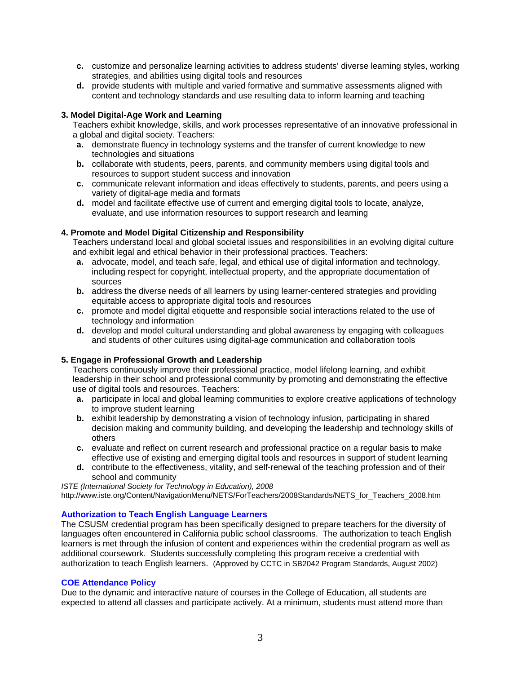- **c.** customize and personalize learning activities to address students' diverse learning styles, working strategies, and abilities using digital tools and resources
- **d.** provide students with multiple and varied formative and summative assessments aligned with content and technology standards and use resulting data to inform learning and teaching

# **3. Model Digital-Age Work and Learning**

Teachers exhibit knowledge, skills, and work processes representative of an innovative professional in a global and digital society. Teachers:

- **a.** demonstrate fluency in technology systems and the transfer of current knowledge to new technologies and situations
- **b.** collaborate with students, peers, parents, and community members using digital tools and resources to support student success and innovation
- **c.** communicate relevant information and ideas effectively to students, parents, and peers using a variety of digital-age media and formats
- **d.** model and facilitate effective use of current and emerging digital tools to locate, analyze, evaluate, and use information resources to support research and learning

## **4. Promote and Model Digital Citizenship and Responsibility**

Teachers understand local and global societal issues and responsibilities in an evolving digital culture and exhibit legal and ethical behavior in their professional practices. Teachers:

- **a.** advocate, model, and teach safe, legal, and ethical use of digital information and technology, including respect for copyright, intellectual property, and the appropriate documentation of sources
- **b.** address the diverse needs of all learners by using learner-centered strategies and providing equitable access to appropriate digital tools and resources
- **c.** promote and model digital etiquette and responsible social interactions related to the use of technology and information
- **d.** develop and model cultural understanding and global awareness by engaging with colleagues and students of other cultures using digital-age communication and collaboration tools

### **5. Engage in Professional Growth and Leadership**

Teachers continuously improve their professional practice, model lifelong learning, and exhibit leadership in their school and professional community by promoting and demonstrating the effective use of digital tools and resources. Teachers:

- **a.** participate in local and global learning communities to explore creative applications of technology to improve student learning
- **b.** exhibit leadership by demonstrating a vision of technology infusion, participating in shared decision making and community building, and developing the leadership and technology skills of others
- **c.** evaluate and reflect on current research and professional practice on a regular basis to make effective use of existing and emerging digital tools and resources in support of student learning
- **d.** contribute to the effectiveness, vitality, and self-renewal of the teaching profession and of their school and community

*ISTE (International Society for Technology in Education), 2008*  http://www.iste.org/Content/NavigationMenu/NETS/ForTeachers/2008Standards/NETS\_for\_Teachers\_2008.htm

## **Authorization to Teach English Language Learners**

The CSUSM credential program has been specifically designed to prepare teachers for the diversity of languages often encountered in California public school classrooms. The authorization to teach English learners is met through the infusion of content and experiences within the credential program as well as additional coursework. Students successfully completing this program receive a credential with authorization to teach English learners. (Approved by CCTC in SB2042 Program Standards, August 2002)

### **COE Attendance Policy**

Due to the dynamic and interactive nature of courses in the College of Education, all students are expected to attend all classes and participate actively. At a minimum, students must attend more than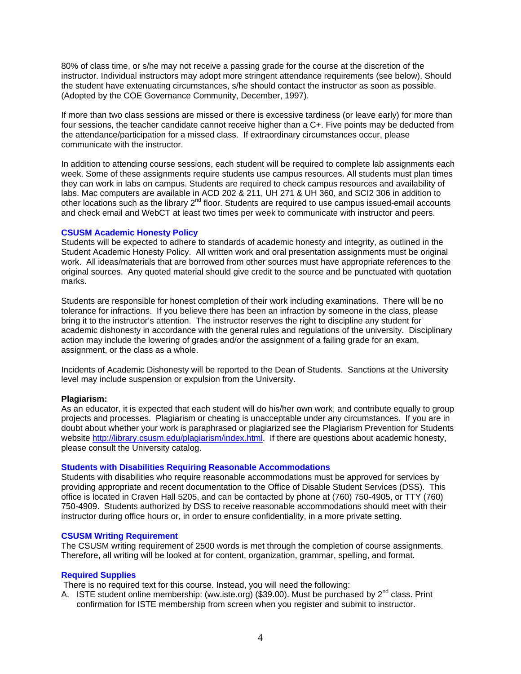80% of class time, or s/he may not receive a passing grade for the course at the discretion of the instructor. Individual instructors may adopt more stringent attendance requirements (see below). Should the student have extenuating circumstances, s/he should contact the instructor as soon as possible. (Adopted by the COE Governance Community, December, 1997).

If more than two class sessions are missed or there is excessive tardiness (or leave early) for more than four sessions, the teacher candidate cannot receive higher than a C+. Five points may be deducted from the attendance/participation for a missed class. If extraordinary circumstances occur, please communicate with the instructor.

In addition to attending course sessions, each student will be required to complete lab assignments each week. Some of these assignments require students use campus resources. All students must plan times they can work in labs on campus. Students are required to check campus resources and availability of labs. Mac computers are available in ACD 202 & 211, UH 271 & UH 360, and SCI2 306 in addition to other locations such as the library 2nd floor. Students are required to use campus issued-email accounts and check email and WebCT at least two times per week to communicate with instructor and peers.

## **CSUSM Academic Honesty Policy**

Students will be expected to adhere to standards of academic honesty and integrity, as outlined in the Student Academic Honesty Policy. All written work and oral presentation assignments must be original work. All ideas/materials that are borrowed from other sources must have appropriate references to the original sources. Any quoted material should give credit to the source and be punctuated with quotation marks.

Students are responsible for honest completion of their work including examinations. There will be no tolerance for infractions. If you believe there has been an infraction by someone in the class, please bring it to the instructor's attention. The instructor reserves the right to discipline any student for academic dishonesty in accordance with the general rules and regulations of the university. Disciplinary action may include the lowering of grades and/or the assignment of a failing grade for an exam, assignment, or the class as a whole.

Incidents of Academic Dishonesty will be reported to the Dean of Students. Sanctions at the University level may include suspension or expulsion from the University.

#### **Plagiarism:**

As an educator, it is expected that each student will do his/her own work, and contribute equally to group projects and processes. Plagiarism or cheating is unacceptable under any circumstances. If you are in doubt about whether your work is paraphrased or plagiarized see the Plagiarism Prevention for Students website http://library.csusm.edu/plagiarism/index.html. If there are questions about academic honesty, please consult the University catalog.

#### **Students with Disabilities Requiring Reasonable Accommodations**

Students with disabilities who require reasonable accommodations must be approved for services by providing appropriate and recent documentation to the Office of Disable Student Services (DSS). This office is located in Craven Hall 5205, and can be contacted by phone at (760) 750-4905, or TTY (760) 750-4909. Students authorized by DSS to receive reasonable accommodations should meet with their instructor during office hours or, in order to ensure confidentiality, in a more private setting.

#### **CSUSM Writing Requirement**

The CSUSM writing requirement of 2500 words is met through the completion of course assignments. Therefore, all writing will be looked at for content, organization, grammar, spelling, and format.

#### **Required Supplies**

There is no required text for this course. Instead, you will need the following:

A. ISTE student online membership: (ww.iste.org) (\$39.00). Must be purchased by  $2^{nd}$  class. Print confirmation for ISTE membership from screen when you register and submit to instructor.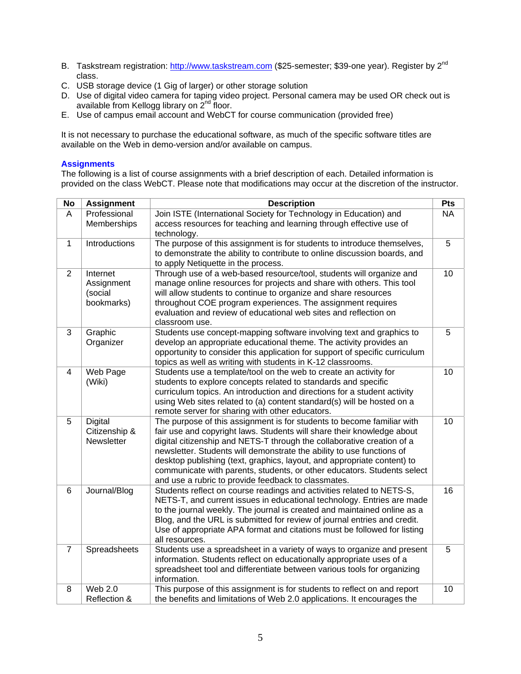- B. Taskstream registration: http://www.taskstream.com (\$25-semester; \$39-one year). Register by 2<sup>nd</sup> class.
- C. USB storage device (1 Gig of larger) or other storage solution
- D. Use of digital video camera for taping video project. Personal camera may be used OR check out is available from Kellogg library on  $2^{nd}$  floor.
- E. Use of campus email account and WebCT for course communication (provided free)

It is not necessary to purchase the educational software, as much of the specific software titles are available on the Web in demo-version and/or available on campus.

## **Assignments**

The following is a list of course assignments with a brief description of each. Detailed information is provided on the class WebCT. Please note that modifications may occur at the discretion of the instructor.

| <b>No</b>      | <b>Assignment</b>                               | <b>Description</b>                                                                                                                                                                                                                                                                                                                                                                                                                                                                                               | Pts            |
|----------------|-------------------------------------------------|------------------------------------------------------------------------------------------------------------------------------------------------------------------------------------------------------------------------------------------------------------------------------------------------------------------------------------------------------------------------------------------------------------------------------------------------------------------------------------------------------------------|----------------|
| A              | Professional<br>Memberships                     | Join ISTE (International Society for Technology in Education) and<br>access resources for teaching and learning through effective use of<br>technology.                                                                                                                                                                                                                                                                                                                                                          | <b>NA</b><br>5 |
| $\mathbf{1}$   | Introductions                                   | The purpose of this assignment is for students to introduce themselves,<br>to demonstrate the ability to contribute to online discussion boards, and<br>to apply Netiquette in the process.                                                                                                                                                                                                                                                                                                                      |                |
| $\overline{2}$ | Internet<br>Assignment<br>(social<br>bookmarks) | Through use of a web-based resource/tool, students will organize and<br>manage online resources for projects and share with others. This tool<br>will allow students to continue to organize and share resources<br>throughout COE program experiences. The assignment requires<br>evaluation and review of educational web sites and reflection on<br>classroom use.                                                                                                                                            |                |
| $\overline{3}$ | Graphic<br>Organizer                            | Students use concept-mapping software involving text and graphics to<br>develop an appropriate educational theme. The activity provides an<br>opportunity to consider this application for support of specific curriculum<br>topics as well as writing with students in K-12 classrooms.                                                                                                                                                                                                                         |                |
| $\overline{4}$ | Web Page<br>(Wiki)                              | Students use a template/tool on the web to create an activity for<br>students to explore concepts related to standards and specific<br>curriculum topics. An introduction and directions for a student activity<br>using Web sites related to (a) content standard(s) will be hosted on a<br>remote server for sharing with other educators.                                                                                                                                                                     | 10             |
| 5              | Digital<br>Citizenship &<br>Newsletter          | The purpose of this assignment is for students to become familiar with<br>fair use and copyright laws. Students will share their knowledge about<br>digital citizenship and NETS-T through the collaborative creation of a<br>newsletter. Students will demonstrate the ability to use functions of<br>desktop publishing (text, graphics, layout, and appropriate content) to<br>communicate with parents, students, or other educators. Students select<br>and use a rubric to provide feedback to classmates. | 10             |
| 6              | Journal/Blog                                    | Students reflect on course readings and activities related to NETS-S,<br>NETS-T, and current issues in educational technology. Entries are made<br>to the journal weekly. The journal is created and maintained online as a<br>Blog, and the URL is submitted for review of journal entries and credit.<br>Use of appropriate APA format and citations must be followed for listing<br>all resources.                                                                                                            | 16             |
| $\overline{7}$ | Spreadsheets                                    | Students use a spreadsheet in a variety of ways to organize and present<br>information. Students reflect on educationally appropriate uses of a<br>spreadsheet tool and differentiate between various tools for organizing<br>information.                                                                                                                                                                                                                                                                       | 5              |
| 8              | <b>Web 2.0</b><br>Reflection &                  | This purpose of this assignment is for students to reflect on and report<br>the benefits and limitations of Web 2.0 applications. It encourages the                                                                                                                                                                                                                                                                                                                                                              | 10             |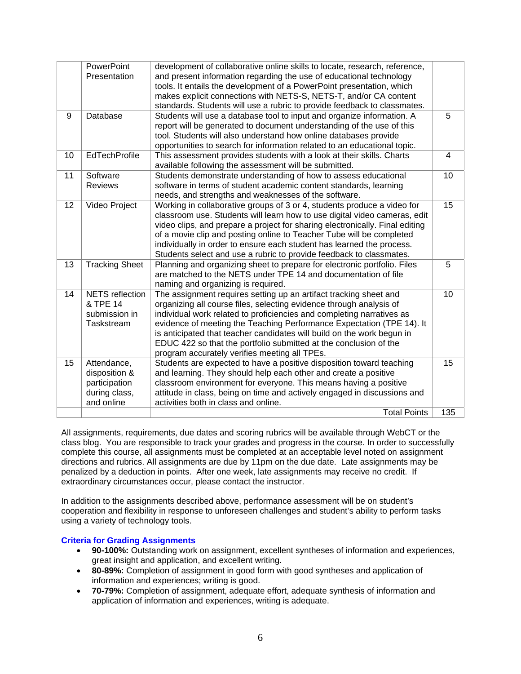|    | <b>PowerPoint</b><br>Presentation                                            | development of collaborative online skills to locate, research, reference,<br>and present information regarding the use of educational technology<br>tools. It entails the development of a PowerPoint presentation, which<br>makes explicit connections with NETS-S, NETS-T, and/or CA content<br>standards. Students will use a rubric to provide feedback to classmates.                                                                                                                |     |
|----|------------------------------------------------------------------------------|--------------------------------------------------------------------------------------------------------------------------------------------------------------------------------------------------------------------------------------------------------------------------------------------------------------------------------------------------------------------------------------------------------------------------------------------------------------------------------------------|-----|
| 9  | Database                                                                     | Students will use a database tool to input and organize information. A<br>report will be generated to document understanding of the use of this<br>tool. Students will also understand how online databases provide<br>opportunities to search for information related to an educational topic.                                                                                                                                                                                            |     |
| 10 | EdTechProfile                                                                | This assessment provides students with a look at their skills. Charts<br>available following the assessment will be submitted.                                                                                                                                                                                                                                                                                                                                                             |     |
| 11 | Software<br><b>Reviews</b>                                                   | 10<br>Students demonstrate understanding of how to assess educational<br>software in terms of student academic content standards, learning<br>needs, and strengths and weaknesses of the software.                                                                                                                                                                                                                                                                                         |     |
| 12 | Video Project                                                                | Working in collaborative groups of 3 or 4, students produce a video for<br>15<br>classroom use. Students will learn how to use digital video cameras, edit<br>video clips, and prepare a project for sharing electronically. Final editing<br>of a movie clip and posting online to Teacher Tube will be completed<br>individually in order to ensure each student has learned the process.<br>Students select and use a rubric to provide feedback to classmates.                         |     |
| 13 | <b>Tracking Sheet</b>                                                        | Planning and organizing sheet to prepare for electronic portfolio. Files<br>are matched to the NETS under TPE 14 and documentation of file<br>naming and organizing is required.                                                                                                                                                                                                                                                                                                           |     |
| 14 | <b>NETS</b> reflection<br>& TPE 14<br>submission in<br>Taskstream            | The assignment requires setting up an artifact tracking sheet and<br>organizing all course files, selecting evidence through analysis of<br>individual work related to proficiencies and completing narratives as<br>evidence of meeting the Teaching Performance Expectation (TPE 14). It<br>is anticipated that teacher candidates will build on the work begun in<br>EDUC 422 so that the portfolio submitted at the conclusion of the<br>program accurately verifies meeting all TPEs. |     |
| 15 | Attendance,<br>disposition &<br>participation<br>during class,<br>and online | Students are expected to have a positive disposition toward teaching<br>and learning. They should help each other and create a positive<br>classroom environment for everyone. This means having a positive<br>attitude in class, being on time and actively engaged in discussions and<br>activities both in class and online.                                                                                                                                                            | 15  |
|    |                                                                              | <b>Total Points</b>                                                                                                                                                                                                                                                                                                                                                                                                                                                                        | 135 |

All assignments, requirements, due dates and scoring rubrics will be available through WebCT or the class blog. You are responsible to track your grades and progress in the course. In order to successfully complete this course, all assignments must be completed at an acceptable level noted on assignment directions and rubrics. All assignments are due by 11pm on the due date. Late assignments may be penalized by a deduction in points. After one week, late assignments may receive no credit. If extraordinary circumstances occur, please contact the instructor.

In addition to the assignments described above, performance assessment will be on student's cooperation and flexibility in response to unforeseen challenges and student's ability to perform tasks using a variety of technology tools.

## **Criteria for Grading Assignments**

- great insight and application, and excellent writing. • **90-100%:** Outstanding work on assignment, excellent syntheses of information and experiences,
- • **80-89%:** Completion of assignment in good form with good syntheses and application of information and experiences; writing is good.
- • **70-79%:** Completion of assignment, adequate effort, adequate synthesis of information and application of information and experiences, writing is adequate.